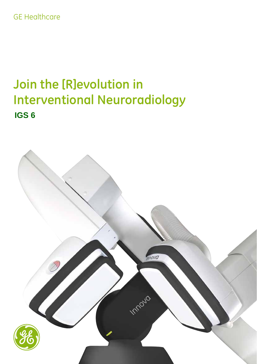# GE Healthcare

# **Join the [R]evolution in Interventional Neuroradiology IGS 6**

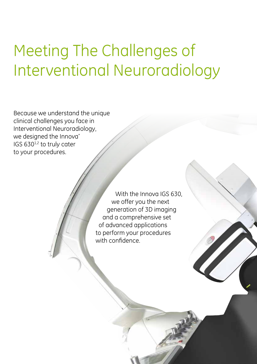# Meeting The Challenges of Interventional Neuroradiology

Because we understand the unique clinical challenges you face in Interventional Neuroradiology, we designed the Innova<sup>\*</sup> IGS 630<sup>1,2</sup> to truly cater to your procedures.

> With the Innova IGS 630, we offer you the next generation of 3D imaging and a comprehensive set of advanced applications to perform your procedures with confidence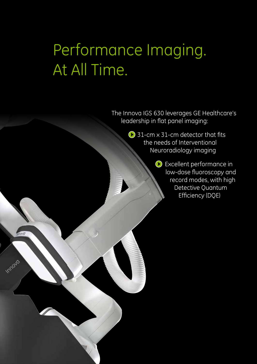# Performance Imaging. At All Time.

Impouo

The Innova IGS 630 leverages GE Healthcare's leadership in flat panel imaging:

> **◆ 31-cm x 31-cm detector that fits** the needs of Interventional Neuroradiology imaging

> > Excellent performance in low-dose fluoroscopy and record modes, with high Detective Quantum Efficiency (DQE)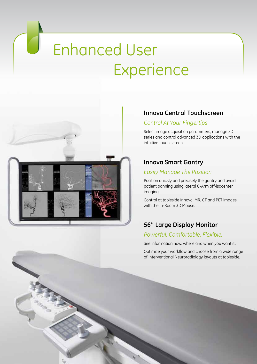# Enhanced User **Experience**



 $\Box$ 

### **Innova Central Touchscreen**

### *Control At Your Fingertips*

Select image acquisition parameters, manage 2D series and control advanced 3D applications with the intuitive touch screen.

### **Innova Smart Gantry**

#### *Easily Manage The Position*

Position quickly and precisely the gantry and avoid patient panning using lateral C-Arm off-isocenter imaging.

Control at tableside Innova, MR, CT and PET images with the In-Room 3D Mouse.

### **56'' Large Display Monitor**

#### *Powerful. Comfortable. Flexible.*

See information how, where and when you want it.

Optimize your workflow and choose from a wide range of Interventional Neuroradiology layouts at tableside.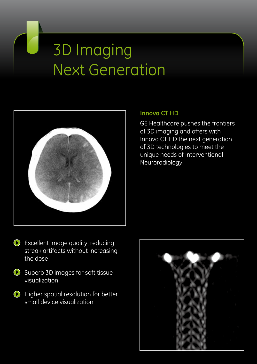# 3D Imaging Next Generation



### **Innova CT HD**

GE Healthcare pushes the frontiers of 3D imaging and offers with Innova CT HD the next generation of 3D technologies to meet the unique needs of Interventional Neuroradiology.

- Excellent image quality, reducing streak artifacts without increasing the dose
- $\bigcirc$  Superb 3D images for soft tissue visualization
- **Higher spatial resolution for better** small device visualization

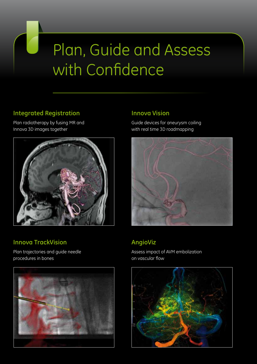# Plan, Guide and Assess with Confidence

### **Integrated Registration**

Plan radiotherapy by fusing MR and Innova 3D images together



## **Innova TrackVision**

Plan trajectories and guide needle procedures in bones



### **Innova Vision**

Guide devices for aneurysm coiling with real time 3D roadmapping



# **AngioViz**

Assess impact of AVM embolization on vascular flow

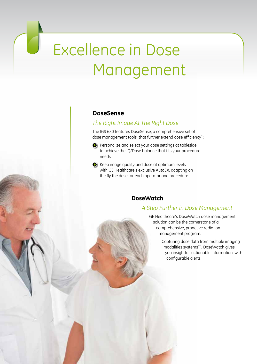# Excellence in Dose Management

#### **DoseSense**

### *The Right Image At The Right Dose*

The IGS 630 features DoseSense, a comprehensive set of dose management tools that further extend dose efficiency\*\*:

- **P** Personalize and select your dose settings at tableside to achieve the IQ/Dose balance that fits your procedure needs
- Reep image quality and dose at optimum levels with GE Healthcare's exclusive AutoEX, adapting on the fly the dose for each operator and procedure

#### **DoseWatch**

#### *A Step Further in Dose Management*

GE Healthcare's DoseWatch dose management solution can be the cornerstone of a comprehensive, proactive radiation management program.

> Capturing dose data from multiple imaging modalities systems\*\*\*, DoseWatch gives you insightful, actionable information, with configurable alerts.